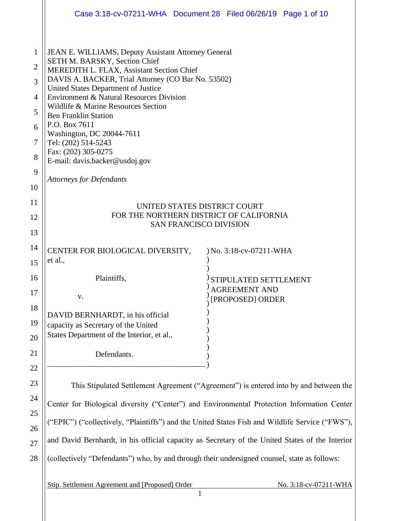|                | Case 3:18-cv-07211-WHA Document 28 Filed 06/26/19 Page 1 of 10                                  |
|----------------|-------------------------------------------------------------------------------------------------|
| $\mathbf{1}$   | JEAN E. WILLIAMS, Deputy Assistant Attorney General<br>SETH M. BARSKY, Section Chief            |
| $\overline{2}$ | MEREDITH L. FLAX, Assistant Section Chief                                                       |
| 3              | DAVIS A. BACKER, Trial Attorney (CO Bar No. 53502)<br>United States Department of Justice       |
| 4              | Environment & Natural Resources Division                                                        |
| 5              | Wildlife & Marine Resources Section<br><b>Ben Franklin Station</b>                              |
| 6              | P.O. Box 7611                                                                                   |
| 7              | Washington, DC 20044-7611<br>Tel: (202) 514-5243                                                |
|                | Fax: (202) 305-0275                                                                             |
| 8              | E-mail: davis.backer@usdoj.gov                                                                  |
| 9              | <b>Attorneys for Defendants</b>                                                                 |
| 10             |                                                                                                 |
| 11             | UNITED STATES DISTRICT COURT                                                                    |
| 12             | FOR THE NORTHERN DISTRICT OF CALIFORNIA<br><b>SAN FRANCISCO DIVISION</b>                        |
| 13             |                                                                                                 |
| 14             | ) No. 3:18-cv-07211-WHA<br>CENTER FOR BIOLOGICAL DIVERSITY,                                     |
| 15             | et al.,                                                                                         |
| 16             | Plaintiffs,                                                                                     |
| 17             | STIPULATED SETTLEMENT<br><b>AGREEMENT AND</b>                                                   |
|                | V.<br>[PROPOSED] ORDER                                                                          |
| 18             | DAVID BERNHARDT, in his official                                                                |
| 19             | capacity as Secretary of the United                                                             |
| 20             | States Department of the Interior, et al.,                                                      |
| 21             | Defendants.                                                                                     |
| 22             |                                                                                                 |
| 23             | This Stipulated Settlement Agreement ("Agreement") is entered into by and between the           |
| 24             | Center for Biological diversity ("Center") and Environmental Protection Information Center      |
| 25             |                                                                                                 |
| 26             | ("EPIC") ("collectively, "Plaintiffs") and the United States Fish and Wildlife Service ("FWS"), |
| 27             | and David Bernhardt, in his official capacity as Secretary of the United States of the Interior |

28 (collectively "Defendants") who, by and through their undersigned counsel, state as follows:

Stip. Settlement Agreement and [Proposed] Order No. 3:18-cv-07211-WHA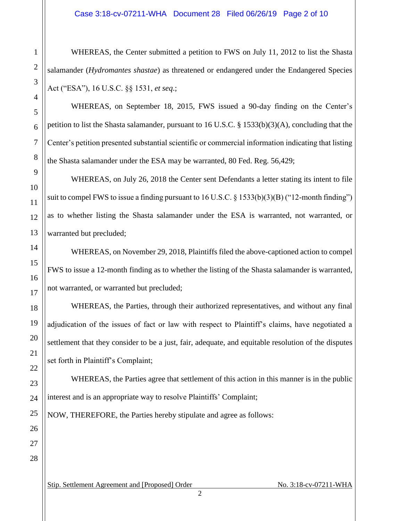# Case 3:18-cv-07211-WHA Document 28 Filed 06/26/19 Page 2 of 10

WHEREAS, the Center submitted a petition to FWS on July 11, 2012 to list the Shasta salamander (*Hydromantes shastae*) as threatened or endangered under the Endangered Species Act ("ESA"), 16 U.S.C. §§ 1531, *et seq*.;

WHEREAS, on September 18, 2015, FWS issued a 90-day finding on the Center's petition to list the Shasta salamander, pursuant to 16 U.S.C. § 1533(b)(3)(A), concluding that the Center's petition presented substantial scientific or commercial information indicating that listing the Shasta salamander under the ESA may be warranted, 80 Fed. Reg. 56,429;

WHEREAS, on July 26, 2018 the Center sent Defendants a letter stating its intent to file suit to compel FWS to issue a finding pursuant to  $16$  U.S.C.  $\S 1533(b)(3)(B)$  ("12-month finding") as to whether listing the Shasta salamander under the ESA is warranted, not warranted, or warranted but precluded;

WHEREAS, on November 29, 2018, Plaintiffs filed the above-captioned action to compel FWS to issue a 12-month finding as to whether the listing of the Shasta salamander is warranted, not warranted, or warranted but precluded;

WHEREAS, the Parties, through their authorized representatives, and without any final adjudication of the issues of fact or law with respect to Plaintiff's claims, have negotiated a settlement that they consider to be a just, fair, adequate, and equitable resolution of the disputes set forth in Plaintiff's Complaint;

WHEREAS, the Parties agree that settlement of this action in this manner is in the public interest and is an appropriate way to resolve Plaintiffs' Complaint;

NOW, THEREFORE, the Parties hereby stipulate and agree as follows:

1

2

3

4

5

6

7

8

9

10

11

12

13

14

15

16

17

18

19

20

21

22

Stip. Settlement Agreement and [Proposed] Order No. 3:18-cv-07211-WHA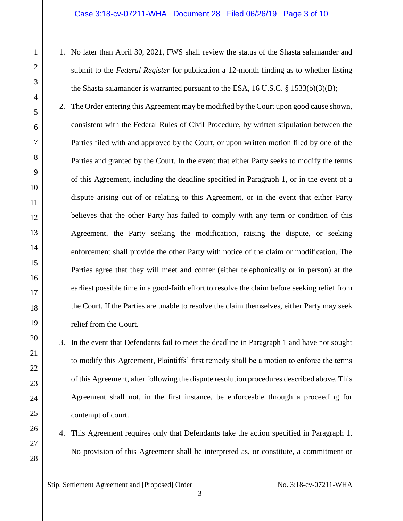- 1. No later than April 30, 2021, FWS shall review the status of the Shasta salamander and submit to the *Federal Register* for publication a 12-month finding as to whether listing the Shasta salamander is warranted pursuant to the ESA, 16 U.S.C. § 1533(b)(3)(B);
- 2. The Order entering this Agreement may be modified by the Court upon good cause shown, consistent with the Federal Rules of Civil Procedure, by written stipulation between the Parties filed with and approved by the Court, or upon written motion filed by one of the Parties and granted by the Court. In the event that either Party seeks to modify the terms of this Agreement, including the deadline specified in Paragraph 1, or in the event of a dispute arising out of or relating to this Agreement, or in the event that either Party believes that the other Party has failed to comply with any term or condition of this Agreement, the Party seeking the modification, raising the dispute, or seeking enforcement shall provide the other Party with notice of the claim or modification. The Parties agree that they will meet and confer (either telephonically or in person) at the earliest possible time in a good-faith effort to resolve the claim before seeking relief from the Court. If the Parties are unable to resolve the claim themselves, either Party may seek relief from the Court.
- 3. In the event that Defendants fail to meet the deadline in Paragraph 1 and have not sought to modify this Agreement, Plaintiffs' first remedy shall be a motion to enforce the terms of this Agreement, after following the dispute resolution procedures described above. This Agreement shall not, in the first instance, be enforceable through a proceeding for contempt of court.
- 4. This Agreement requires only that Defendants take the action specified in Paragraph 1. No provision of this Agreement shall be interpreted as, or constitute, a commitment or

Stip. Settlement Agreement and [Proposed] Order No. 3:18-cv-07211-WHA

1

2

3

4

5

6

7

8

9

10

11

12

13

14

15

16

17

18

19

20

21

22

23

24

25

26

27

28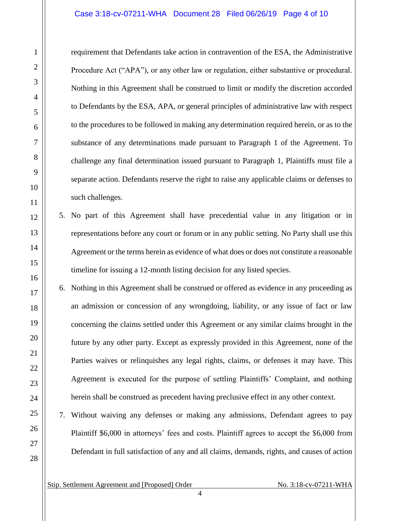#### Case 3:18-cv-07211-WHA Document 28 Filed 06/26/19 Page 4 of 10

requirement that Defendants take action in contravention of the ESA, the Administrative Procedure Act ("APA"), or any other law or regulation, either substantive or procedural. Nothing in this Agreement shall be construed to limit or modify the discretion accorded to Defendants by the ESA, APA, or general principles of administrative law with respect to the procedures to be followed in making any determination required herein, or as to the substance of any determinations made pursuant to Paragraph 1 of the Agreement. To challenge any final determination issued pursuant to Paragraph 1, Plaintiffs must file a separate action. Defendants reserve the right to raise any applicable claims or defenses to such challenges.

- 5. No part of this Agreement shall have precedential value in any litigation or in representations before any court or forum or in any public setting. No Party shall use this Agreement or the terms herein as evidence of what does or does not constitute a reasonable timeline for issuing a 12-month listing decision for any listed species.
- 6. Nothing in this Agreement shall be construed or offered as evidence in any proceeding as an admission or concession of any wrongdoing, liability, or any issue of fact or law concerning the claims settled under this Agreement or any similar claims brought in the future by any other party. Except as expressly provided in this Agreement, none of the Parties waives or relinquishes any legal rights, claims, or defenses it may have. This Agreement is executed for the purpose of settling Plaintiffs' Complaint, and nothing herein shall be construed as precedent having preclusive effect in any other context.
- 7. Without waiving any defenses or making any admissions, Defendant agrees to pay Plaintiff \$6,000 in attorneys' fees and costs. Plaintiff agrees to accept the \$6,000 from Defendant in full satisfaction of any and all claims, demands, rights, and causes of action

Stip. Settlement Agreement and [Proposed] Order No. 3:18-cv-07211-WHA

1

2

3

4

5

6

7

8

9

10

11

12

13

14

15

16

17

18

19

20

21

22

23

24

25

26

27

28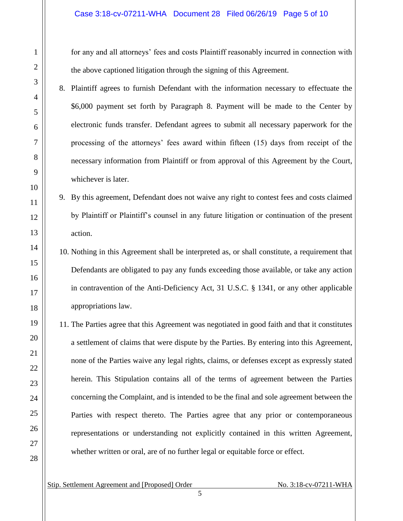for any and all attorneys' fees and costs Plaintiff reasonably incurred in connection with the above captioned litigation through the signing of this Agreement.

- 8. Plaintiff agrees to furnish Defendant with the information necessary to effectuate the \$6,000 payment set forth by Paragraph 8. Payment will be made to the Center by electronic funds transfer. Defendant agrees to submit all necessary paperwork for the processing of the attorneys' fees award within fifteen (15) days from receipt of the necessary information from Plaintiff or from approval of this Agreement by the Court, whichever is later.
- 9. By this agreement, Defendant does not waive any right to contest fees and costs claimed by Plaintiff or Plaintiff's counsel in any future litigation or continuation of the present action.
- 10. Nothing in this Agreement shall be interpreted as, or shall constitute, a requirement that Defendants are obligated to pay any funds exceeding those available, or take any action in contravention of the Anti-Deficiency Act, 31 U.S.C. § 1341, or any other applicable appropriations law.
- 11. The Parties agree that this Agreement was negotiated in good faith and that it constitutes a settlement of claims that were dispute by the Parties. By entering into this Agreement, none of the Parties waive any legal rights, claims, or defenses except as expressly stated herein. This Stipulation contains all of the terms of agreement between the Parties concerning the Complaint, and is intended to be the final and sole agreement between the Parties with respect thereto. The Parties agree that any prior or contemporaneous representations or understanding not explicitly contained in this written Agreement, whether written or oral, are of no further legal or equitable force or effect.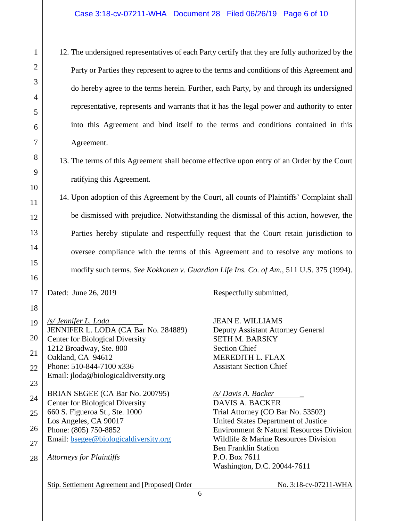### Case 3:18-cv-07211-WHA Document 28 Filed 06/26/19 Page 6 of 10

- 12. The undersigned representatives of each Party certify that they are fully authorized by the Party or Parties they represent to agree to the terms and conditions of this Agreement and do hereby agree to the terms herein. Further, each Party, by and through its undersigned representative, represents and warrants that it has the legal power and authority to enter into this Agreement and bind itself to the terms and conditions contained in this Agreement.
- 13. The terms of this Agreement shall become effective upon entry of an Order by the Court ratifying this Agreement.

14. Upon adoption of this Agreement by the Court, all counts of Plaintiffs' Complaint shall be dismissed with prejudice. Notwithstanding the dismissal of this action, however, the Parties hereby stipulate and respectfully request that the Court retain jurisdiction to oversee compliance with the terms of this Agreement and to resolve any motions to modify such terms. *See Kokkonen v. Guardian Life Ins. Co. of Am.*, 511 U.S. 375 (1994).

1

2

3

4

5

6

7

8

9

10

11

12

13

14

15

16

17

18

19

20

21

22

23

24

25

26

27

*/s/ Jennifer L. Loda* JEAN E. WILLIAMS JENNIFER L. LODA (CA Bar No. 284889) Deputy Assistant Attorney General Center for Biological Diversity SETH M. BARSKY 1212 Broadway, Ste. 800 Section Chief Oakland, CA 94612 MEREDITH L. FLAX Phone: 510-844-7100 x336 Assistant Section Chief Email: jloda@biologicaldiversity.org BRIAN SEGEE (CA Bar No. 200795) */s/ Davis A. Backer \_* Center for Biological Diversity DAVIS A. BACKER 660 S. Figueroa St., Ste. 1000 Trial Attorney (CO Bar No. 53502) Los Angeles, CA 90017 United States Department of Justice Email: [bsegee@biologicaldiversity.org](mailto:bsegee@biologicaldiversity.org) Wildlife & Marine Resources Division

28 *Attorneys for Plaintiffs* P.O. Box 7611

Dated: June 26, 2019 Respectfully submitted,

Phone: (805) 750-8852 Environment & Natural Resources Division Ben Franklin Station Washington, D.C. 20044-7611

Stip. Settlement Agreement and [Proposed] Order No. 3:18-cv-07211-WHA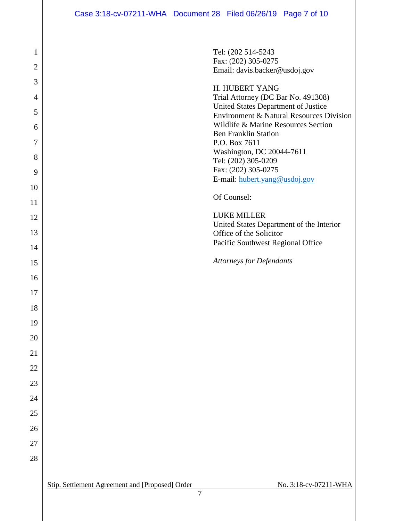Case 3:18-cv-07211-WHA Document 28 Filed 06/26/19 Page 7 of 10

Tel: (202 514-5243 Fax: (202) 305-0275 Email: davis.backer@usdoj.gov

H. HUBERT YANG Trial Attorney (DC Bar No. 491308) United States Department of Justice Environment & Natural Resources Division Wildlife & Marine Resources Section Ben Franklin Station P.O. Box 7611 Washington, DC 20044-7611 Tel: (202) 305-0209 Fax: (202) 305-0275 E-mail: [hubert.yang@usdoj.gov](mailto:hubert.yang@usdoj.gov)

Of Counsel:

LUKE MILLER United States Department of the Interior Office of the Solicitor Pacific Southwest Regional Office

*Attorneys for Defendants*

Stip. Settlement Agreement and [Proposed] Order No. 3:18-cv-07211-WHA

1

2

3

4

5

6

7

8

9

10

11

12

13

14

15

16

17

18

19

20

21

22

23

24

25

26

27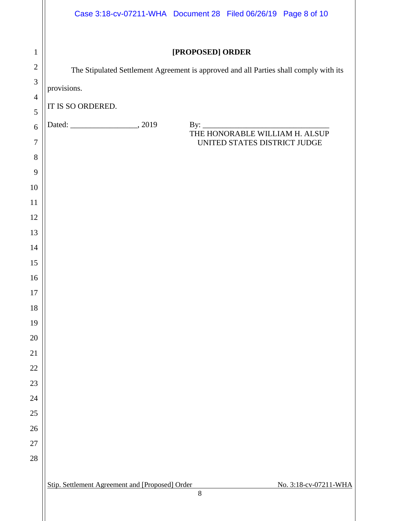|                | Case 3:18-cv-07211-WHA Document 28 Filed 06/26/19 Page 8 of 10                        |
|----------------|---------------------------------------------------------------------------------------|
| $\mathbf{1}$   | [PROPOSED] ORDER                                                                      |
| $\overline{2}$ | The Stipulated Settlement Agreement is approved and all Parties shall comply with its |
| 3              | provisions.                                                                           |
| $\overline{4}$ | IT IS SO ORDERED.                                                                     |
| 5              |                                                                                       |
| 6              |                                                                                       |
| $\overline{7}$ | UNITED STATES DISTRICT JUDGE                                                          |
| 8              |                                                                                       |
| 9              |                                                                                       |
| 10             |                                                                                       |
| 11             |                                                                                       |
| 12<br>13       |                                                                                       |
| 14             |                                                                                       |
| 15             |                                                                                       |
| 16             |                                                                                       |
| 17             |                                                                                       |
| 18             |                                                                                       |
| 19             |                                                                                       |
| $20\,$         |                                                                                       |
| 21             |                                                                                       |
| $22\,$         |                                                                                       |
| 23             |                                                                                       |
| 24             |                                                                                       |
| 25             |                                                                                       |
| $26\,$         |                                                                                       |
| $27\,$         |                                                                                       |
| 28             |                                                                                       |
|                | Stip. Settlement Agreement and [Proposed] Order<br>No. 3:18-cv-07211-WHA              |
|                | $\,8\,$                                                                               |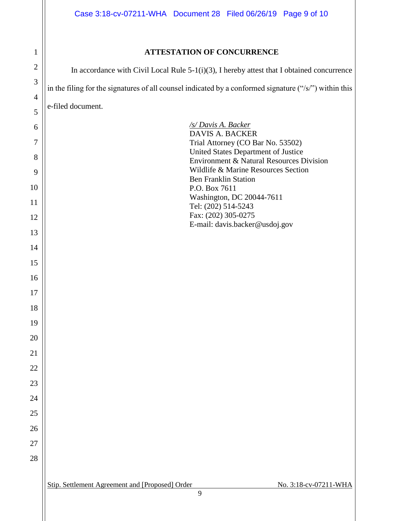# **ATTESTATION OF CONCURRENCE**

Stip. Settlement Agreement and [Proposed] Order No. 3:18-cv-07211-WHA In accordance with Civil Local Rule  $5-1(i)(3)$ , I hereby attest that I obtained concurrence in the filing for the signatures of all counsel indicated by a conformed signature ("/s/") within this e-filed document. */s/ Davis A. Backer* DAVIS A. BACKER Trial Attorney (CO Bar No. 53502) United States Department of Justice Environment & Natural Resources Division Wildlife & Marine Resources Section Ben Franklin Station P.O. Box 7611 Washington, DC 20044-7611 Tel: (202) 514-5243 Fax: (202) 305-0275 E-mail: davis.backer@usdoj.gov